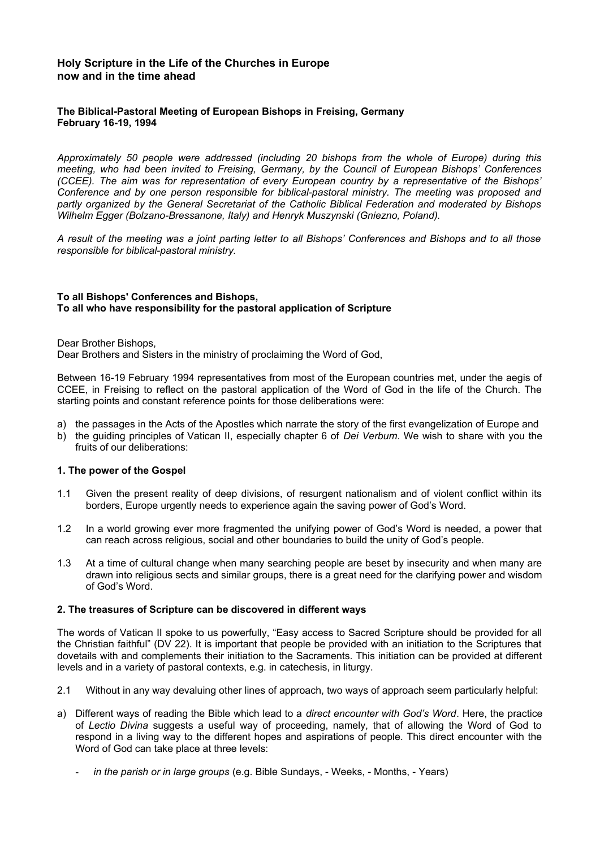# **Holy Scripture in the Life of the Churches in Europe now and in the time ahead**

# **The Biblical-Pastoral Meeting of European Bishops in Freising, Germany February 16-19, 1994**

*Approximately 50 people were addressed (including 20 bishops from the whole of Europe) during this meeting, who had been invited to Freising, Germany, by the Council of European Bishops' Conferences (CCEE). The aim was for representation of every European country by a representative of the Bishops' Conference and by one person responsible for biblical-pastoral ministry. The meeting was proposed and partly organized by the General Secretariat of the Catholic Biblical Federation and moderated by Bishops Wilhelm Egger (Bolzano-Bressanone, Italy) and Henryk Muszynski (Gniezno, Poland).*

*A result of the meeting was a joint parting letter to all Bishops' Conferences and Bishops and to all those responsible for biblical-pastoral ministry.*

## **To all Bishops' Conferences and Bishops, To all who have responsibility for the pastoral application of Scripture**

Dear Brother Bishops,

Dear Brothers and Sisters in the ministry of proclaiming the Word of God,

Between 16-19 February 1994 representatives from most of the European countries met, under the aegis of CCEE, in Freising to reflect on the pastoral application of the Word of God in the life of the Church. The starting points and constant reference points for those deliberations were:

- a) the passages in the Acts of the Apostles which narrate the story of the first evangelization of Europe and
- b) the guiding principles of Vatican II, especially chapter 6 of *Dei Verbum*. We wish to share with you the fruits of our deliberations:

## **1. The power of the Gospel**

- 1.1 Given the present reality of deep divisions, of resurgent nationalism and of violent conflict within its borders, Europe urgently needs to experience again the saving power of God's Word.
- 1.2 In a world growing ever more fragmented the unifying power of God's Word is needed, a power that can reach across religious, social and other boundaries to build the unity of God's people.
- 1.3 At a time of cultural change when many searching people are beset by insecurity and when many are drawn into religious sects and similar groups, there is a great need for the clarifying power and wisdom of God's Word.

### **2. The treasures of Scripture can be discovered in different ways**

The words of Vatican II spoke to us powerfully, "Easy access to Sacred Scripture should be provided for all the Christian faithful" (DV 22). It is important that people be provided with an initiation to the Scriptures that dovetails with and complements their initiation to the Sacraments. This initiation can be provided at different levels and in a variety of pastoral contexts, e.g. in catechesis, in liturgy.

- 2.1 Without in any way devaluing other lines of approach, two ways of approach seem particularly helpful:
- a) Different ways of reading the Bible which lead to a *direct encounter with God's Word*. Here, the practice of *Lectio Divina* suggests a useful way of proceeding, namely, that of allowing the Word of God to respond in a living way to the different hopes and aspirations of people. This direct encounter with the Word of God can take place at three levels:
	- *in the parish or in large groups* (e.g. Bible Sundays, Weeks, Months, Years)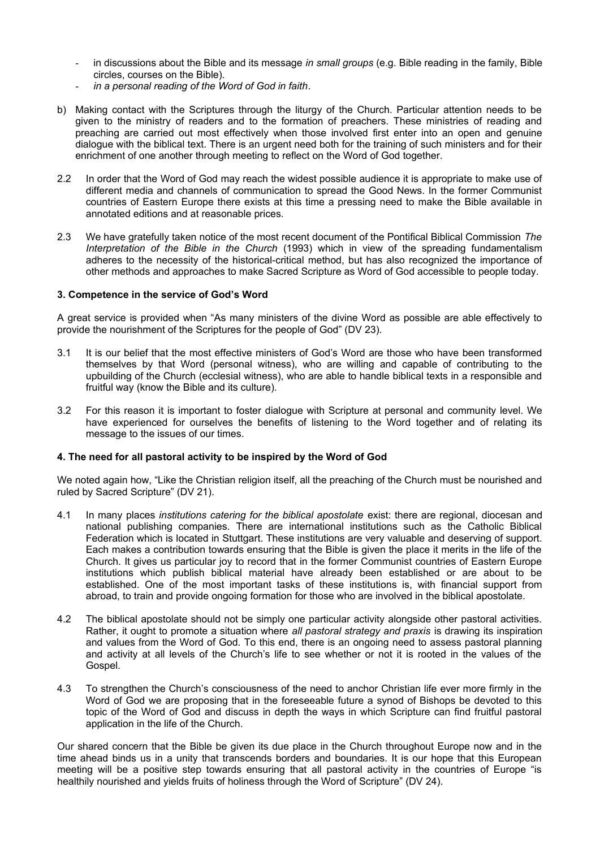- in discussions about the Bible and its message *in small groups* (e.g. Bible reading in the family, Bible circles, courses on the Bible).
- *in a personal reading of the Word of God in faith*.
- b) Making contact with the Scriptures through the liturgy of the Church. Particular attention needs to be given to the ministry of readers and to the formation of preachers. These ministries of reading and preaching are carried out most effectively when those involved first enter into an open and genuine dialogue with the biblical text. There is an urgent need both for the training of such ministers and for their enrichment of one another through meeting to reflect on the Word of God together.
- 2.2 In order that the Word of God may reach the widest possible audience it is appropriate to make use of different media and channels of communication to spread the Good News. In the former Communist countries of Eastern Europe there exists at this time a pressing need to make the Bible available in annotated editions and at reasonable prices.
- 2.3 We have gratefully taken notice of the most recent document of the Pontifical Biblical Commission *The Interpretation of the Bible in the Church* (1993) which in view of the spreading fundamentalism adheres to the necessity of the historical-critical method, but has also recognized the importance of other methods and approaches to make Sacred Scripture as Word of God accessible to people today.

## **3. Competence in the service of God's Word**

A great service is provided when "As many ministers of the divine Word as possible are able effectively to provide the nourishment of the Scriptures for the people of God" (DV 23).

- 3.1 It is our belief that the most effective ministers of God's Word are those who have been transformed themselves by that Word (personal witness), who are willing and capable of contributing to the upbuilding of the Church (ecclesial witness), who are able to handle biblical texts in a responsible and fruitful way (know the Bible and its culture).
- 3.2 For this reason it is important to foster dialogue with Scripture at personal and community level. We have experienced for ourselves the benefits of listening to the Word together and of relating its message to the issues of our times.

### **4. The need for all pastoral activity to be inspired by the Word of God**

We noted again how, "Like the Christian religion itself, all the preaching of the Church must be nourished and ruled by Sacred Scripture" (DV 21).

- 4.1 In many places *institutions catering for the biblical apostolate* exist: there are regional, diocesan and national publishing companies. There are international institutions such as the Catholic Biblical Federation which is located in Stuttgart. These institutions are very valuable and deserving of support. Each makes a contribution towards ensuring that the Bible is given the place it merits in the life of the Church. It gives us particular joy to record that in the former Communist countries of Eastern Europe institutions which publish biblical material have already been established or are about to be established. One of the most important tasks of these institutions is, with financial support from abroad, to train and provide ongoing formation for those who are involved in the biblical apostolate.
- 4.2 The biblical apostolate should not be simply one particular activity alongside other pastoral activities. Rather, it ought to promote a situation where *all pastoral strategy and praxis* is drawing its inspiration and values from the Word of God. To this end, there is an ongoing need to assess pastoral planning and activity at all levels of the Church's life to see whether or not it is rooted in the values of the Gospel.
- 4.3 To strengthen the Church's consciousness of the need to anchor Christian life ever more firmly in the Word of God we are proposing that in the foreseeable future a synod of Bishops be devoted to this topic of the Word of God and discuss in depth the ways in which Scripture can find fruitful pastoral application in the life of the Church.

Our shared concern that the Bible be given its due place in the Church throughout Europe now and in the time ahead binds us in a unity that transcends borders and boundaries. It is our hope that this European meeting will be a positive step towards ensuring that all pastoral activity in the countries of Europe "is healthily nourished and yields fruits of holiness through the Word of Scripture" (DV 24).